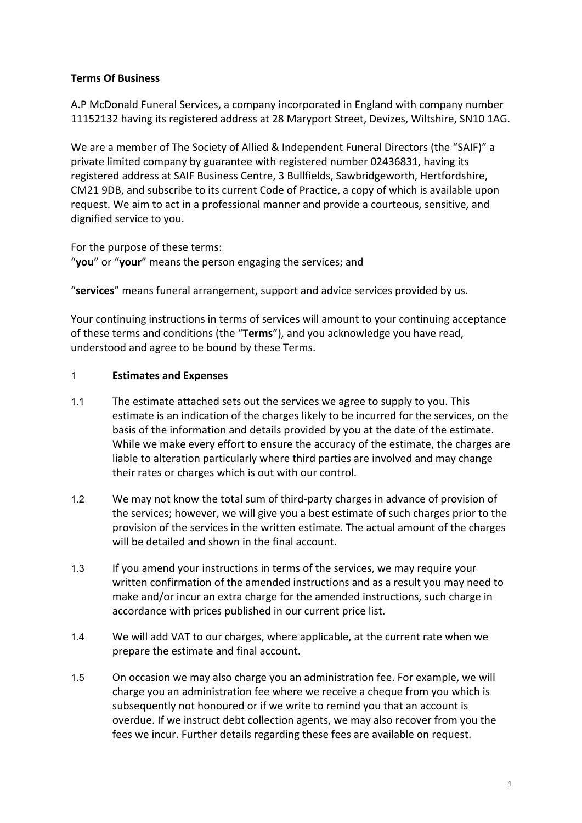## **Terms Of Business**

A.P McDonald Funeral Services, a company incorporated in England with company number 11152132 having its registered address at 28 Maryport Street, Devizes, Wiltshire, SN10 1AG.

We are a member of The Society of Allied & Independent Funeral Directors (the "SAIF)" a private limited company by guarantee with registered number 02436831, having its registered address at SAIF Business Centre, 3 Bullfields, Sawbridgeworth, Hertfordshire, CM21 9DB, and subscribe to its current Code of Practice, a copy of which is available upon request. We aim to act in a professional manner and provide a courteous, sensitive, and dignified service to you.

For the purpose of these terms: "**you**" or "**your**" means the person engaging the services; and

"**services**" means funeral arrangement, support and advice services provided by us.

Your continuing instructions in terms of services will amount to your continuing acceptance of these terms and conditions (the "**Terms**"), and you acknowledge you have read, understood and agree to be bound by these Terms.

### 1 **Estimates and Expenses**

- 1.1 The estimate attached sets out the services we agree to supply to you. This estimate is an indication of the charges likely to be incurred for the services, on the basis of the information and details provided by you at the date of the estimate. While we make every effort to ensure the accuracy of the estimate, the charges are liable to alteration particularly where third parties are involved and may change their rates or charges which is out with our control.
- 1.2 We may not know the total sum of third-party charges in advance of provision of the services; however, we will give you a best estimate of such charges prior to the provision of the services in the written estimate. The actual amount of the charges will be detailed and shown in the final account.
- 1.3 If you amend your instructions in terms of the services, we may require your written confirmation of the amended instructions and as a result you may need to make and/or incur an extra charge for the amended instructions, such charge in accordance with prices published in our current price list.
- 1.4 We will add VAT to our charges, where applicable, at the current rate when we prepare the estimate and final account.
- 1.5 On occasion we may also charge you an administration fee. For example, we will charge you an administration fee where we receive a cheque from you which is subsequently not honoured or if we write to remind you that an account is overdue. If we instruct debt collection agents, we may also recover from you the fees we incur. Further details regarding these fees are available on request.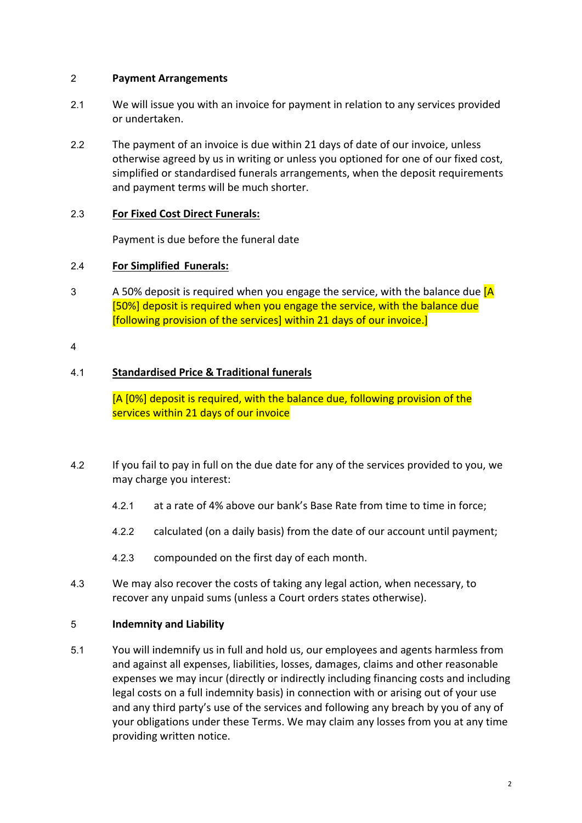### 2 **Payment Arrangements**

- 2.1 We will issue you with an invoice for payment in relation to any services provided or undertaken.
- 2.2 The payment of an invoice is due within 21 days of date of our invoice, unless otherwise agreed by us in writing or unless you optioned for one of our fixed cost, simplified or standardised funerals arrangements, when the deposit requirements and payment terms will be much shorter.

### 2.3 **For Fixed Cost Direct Funerals:**

Payment is due before the funeral date

### 2.4 **For Simplified Funerals:**

 $3$  A 50% deposit is required when you engage the service, with the balance due  $[A]$ [50%] deposit is required when you engage the service, with the balance due [following provision of the services] within 21 days of our invoice.]

#### 4

# 4.1 **Standardised Price & Traditional funerals**

[A [0%] deposit is required, with the balance due, following provision of the services within 21 days of our invoice

- 4.2 If you fail to pay in full on the due date for any of the services provided to you, we may charge you interest:
	- 4.2.1 at a rate of 4% above our bank's Base Rate from time to time in force;
	- 4.2.2 calculated (on a daily basis) from the date of our account until payment;
	- 4.2.3 compounded on the first day of each month.
- 4.3 We may also recover the costs of taking any legal action, when necessary, to recover any unpaid sums (unless a Court orders states otherwise).

### 5 **Indemnity and Liability**

5.1 You will indemnify us in full and hold us, our employees and agents harmless from and against all expenses, liabilities, losses, damages, claims and other reasonable expenses we may incur (directly or indirectly including financing costs and including legal costs on a full indemnity basis) in connection with or arising out of your use and any third party's use of the services and following any breach by you of any of your obligations under these Terms. We may claim any losses from you at any time providing written notice.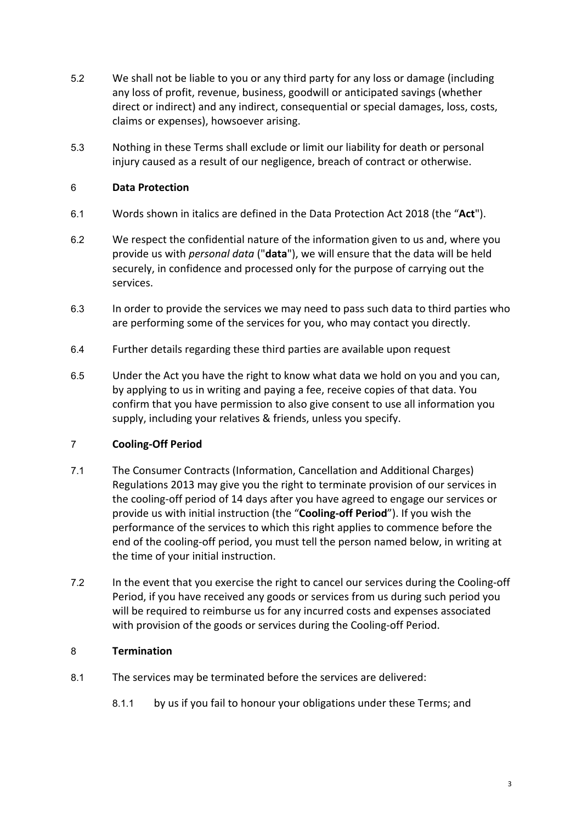- 5.2 We shall not be liable to you or any third party for any loss or damage (including any loss of profit, revenue, business, goodwill or anticipated savings (whether direct or indirect) and any indirect, consequential or special damages, loss, costs, claims or expenses), howsoever arising.
- 5.3 Nothing in these Terms shall exclude or limit our liability for death or personal injury caused as a result of our negligence, breach of contract or otherwise.

# 6 **Data Protection**

- 6.1 Words shown in italics are defined in the Data Protection Act 2018 (the "**Act**").
- 6.2 We respect the confidential nature of the information given to us and, where you provide us with *personal data* ("**data**"), we will ensure that the data will be held securely, in confidence and processed only for the purpose of carrying out the services.
- 6.3 In order to provide the services we may need to pass such data to third parties who are performing some of the services for you, who may contact you directly.
- 6.4 Further details regarding these third parties are available upon request
- 6.5 Under the Act you have the right to know what data we hold on you and you can, by applying to us in writing and paying a fee, receive copies of that data. You confirm that you have permission to also give consent to use all information you supply, including your relatives & friends, unless you specify.

# 7 **Cooling-Off Period**

- 7.1 The Consumer Contracts (Information, Cancellation and Additional Charges) Regulations 2013 may give you the right to terminate provision of our services in the cooling-off period of 14 days after you have agreed to engage our services or provide us with initial instruction (the "**Cooling-off Period**"). If you wish the performance of the services to which this right applies to commence before the end of the cooling-off period, you must tell the person named below, in writing at the time of your initial instruction.
- 7.2 In the event that you exercise the right to cancel our services during the Cooling-off Period, if you have received any goods or services from us during such period you will be required to reimburse us for any incurred costs and expenses associated with provision of the goods or services during the Cooling-off Period.

### 8 **Termination**

- 8.1 The services may be terminated before the services are delivered:
	- 8.1.1 by us if you fail to honour your obligations under these Terms; and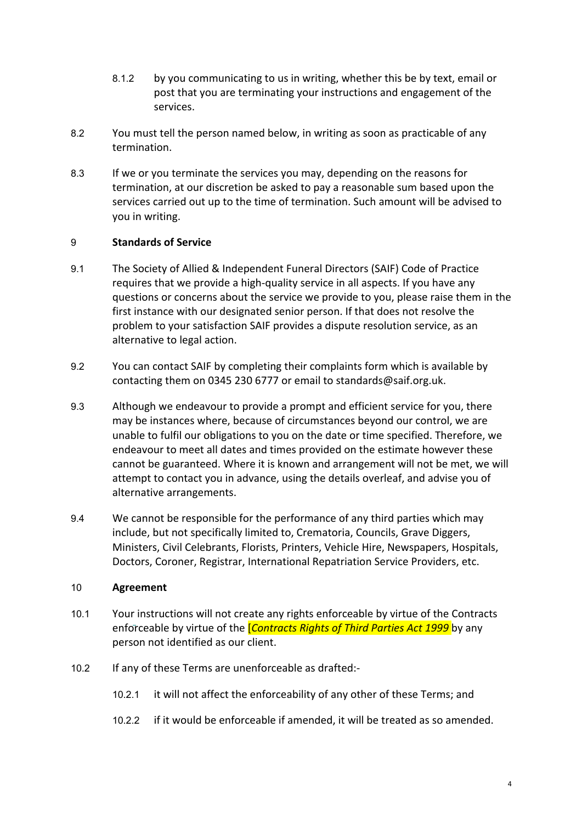- 8.1.2 by you communicating to us in writing, whether this be by text, email or post that you are terminating your instructions and engagement of the services.
- 8.2 You must tell the person named below, in writing as soon as practicable of any termination.
- 8.3 If we or you terminate the services you may, depending on the reasons for termination, at our discretion be asked to pay a reasonable sum based upon the services carried out up to the time of termination. Such amount will be advised to you in writing.

### 9 **Standards of Service**

- 9.1 The Society of Allied & Independent Funeral Directors (SAIF) Code of Practice requires that we provide a high-quality service in all aspects. If you have any questions or concerns about the service we provide to you, please raise them in the first instance with our designated senior person. If that does not resolve the problem to your satisfaction SAIF provides a dispute resolution service, as an alternative to legal action.
- 9.2 You can contact SAIF by completing their complaints form which is available by contacting them on 0345 230 6777 or email to standards@saif.org.uk.
- 9.3 Although we endeavour to provide a prompt and efficient service for you, there may be instances where, because of circumstances beyond our control, we are unable to fulfil our obligations to you on the date or time specified. Therefore, we endeavour to meet all dates and times provided on the estimate however these cannot be guaranteed. Where it is known and arrangement will not be met, we will attempt to contact you in advance, using the details overleaf, and advise you of alternative arrangements.
- 9.4 We cannot be responsible for the performance of any third parties which may include, but not specifically limited to, Crematoria, Councils, Grave Diggers, Ministers, Civil Celebrants, Florists, Printers, Vehicle Hire, Newspapers, Hospitals, Doctors, Coroner, Registrar, International Repatriation Service Providers, etc.

### 10 **Agreement**

- 10.1 Your instructions will not create any rights enforceable by virtue of the Contracts enforceable by virtue of the [*Contracts Rights of Third Parties Act 1999* by any person not identified as our client.
- 10.2 If any of these Terms are unenforceable as drafted:-
	- 10.2.1 it will not affect the enforceability of any other of these Terms; and
	- 10.2.2 if it would be enforceable if amended, it will be treated as so amended.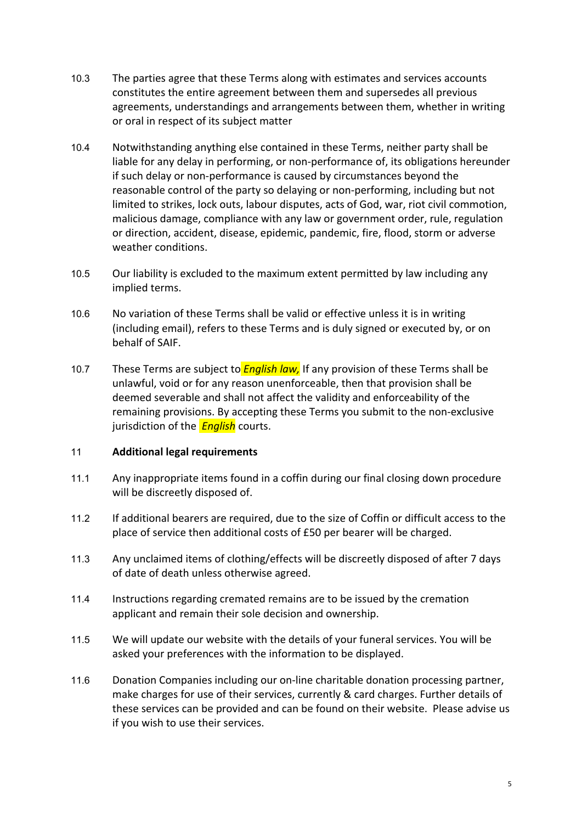- 10.3 The parties agree that these Terms along with estimates and services accounts constitutes the entire agreement between them and supersedes all previous agreements, understandings and arrangements between them, whether in writing or oral in respect of its subject matter
- 10.4 Notwithstanding anything else contained in these Terms, neither party shall be liable for any delay in performing, or non-performance of, its obligations hereunder if such delay or non-performance is caused by circumstances beyond the reasonable control of the party so delaying or non-performing, including but not limited to strikes, lock outs, labour disputes, acts of God, war, riot civil commotion, malicious damage, compliance with any law or government order, rule, regulation or direction, accident, disease, epidemic, pandemic, fire, flood, storm or adverse weather conditions.
- 10.5 Our liability is excluded to the maximum extent permitted by law including any implied terms.
- 10.6 No variation of these Terms shall be valid or effective unless it is in writing (including email), refers to these Terms and is duly signed or executed by, or on behalf of SAIF.
- 10.7 These Terms are subject to *English law,* If any provision of these Terms shall be unlawful, void or for any reason unenforceable, then that provision shall be deemed severable and shall not affect the validity and enforceability of the remaining provisions. By accepting these Terms you submit to the non-exclusive jurisdiction of the *English* courts.

### 11 **Additional legal requirements**

- 11.1 Any inappropriate items found in a coffin during our final closing down procedure will be discreetly disposed of.
- 11.2 If additional bearers are required, due to the size of Coffin or difficult access to the place of service then additional costs of £50 per bearer will be charged.
- 11.3 Any unclaimed items of clothing/effects will be discreetly disposed of after 7 days of date of death unless otherwise agreed.
- 11.4 Instructions regarding cremated remains are to be issued by the cremation applicant and remain their sole decision and ownership.
- 11.5 We will update our website with the details of your funeral services. You will be asked your preferences with the information to be displayed.
- 11.6 Donation Companies including our on-line charitable donation processing partner, make charges for use of their services, currently & card charges. Further details of these services can be provided and can be found on their website. Please advise us if you wish to use their services.